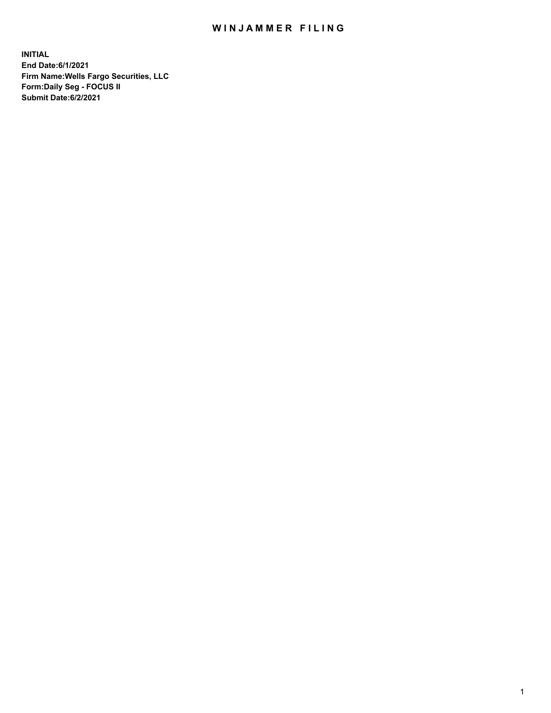## WIN JAMMER FILING

**INITIAL End Date:6/1/2021 Firm Name:Wells Fargo Securities, LLC Form:Daily Seg - FOCUS II Submit Date:6/2/2021**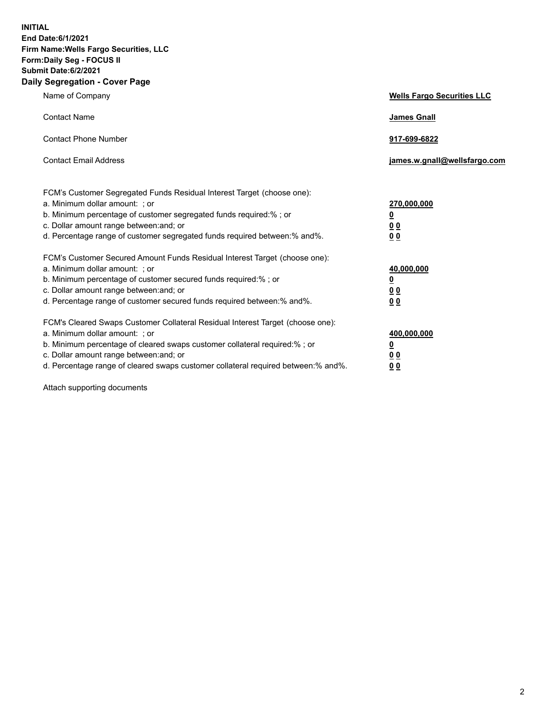**INITIAL End Date:6/1/2021 Firm Name:Wells Fargo Securities, LLC Form:Daily Seg - FOCUS II Submit Date:6/2/2021 Daily Segregation - Cover Page**

| Name of Company                                                                                                                                                                                                                                                                                                                | <b>Wells Fargo Securities LLC</b>                           |
|--------------------------------------------------------------------------------------------------------------------------------------------------------------------------------------------------------------------------------------------------------------------------------------------------------------------------------|-------------------------------------------------------------|
| <b>Contact Name</b>                                                                                                                                                                                                                                                                                                            | <b>James Gnall</b>                                          |
| <b>Contact Phone Number</b>                                                                                                                                                                                                                                                                                                    | 917-699-6822                                                |
| <b>Contact Email Address</b>                                                                                                                                                                                                                                                                                                   | james.w.gnall@wellsfargo.com                                |
| FCM's Customer Segregated Funds Residual Interest Target (choose one):<br>a. Minimum dollar amount: ; or<br>b. Minimum percentage of customer segregated funds required:% ; or<br>c. Dollar amount range between: and; or<br>d. Percentage range of customer segregated funds required between:% and%.                         | 270,000,000<br><u>0</u><br>0 <sub>0</sub><br>0 <sub>0</sub> |
| FCM's Customer Secured Amount Funds Residual Interest Target (choose one):<br>a. Minimum dollar amount: ; or<br>b. Minimum percentage of customer secured funds required:%; or<br>c. Dollar amount range between: and; or<br>d. Percentage range of customer secured funds required between:% and%.                            | 40,000,000<br><u>0</u><br>00<br>0 <sub>0</sub>              |
| FCM's Cleared Swaps Customer Collateral Residual Interest Target (choose one):<br>a. Minimum dollar amount: ; or<br>b. Minimum percentage of cleared swaps customer collateral required:% ; or<br>c. Dollar amount range between: and; or<br>d. Percentage range of cleared swaps customer collateral required between:% and%. | 400,000,000<br><u>0</u><br>0 <sub>0</sub><br>00             |

Attach supporting documents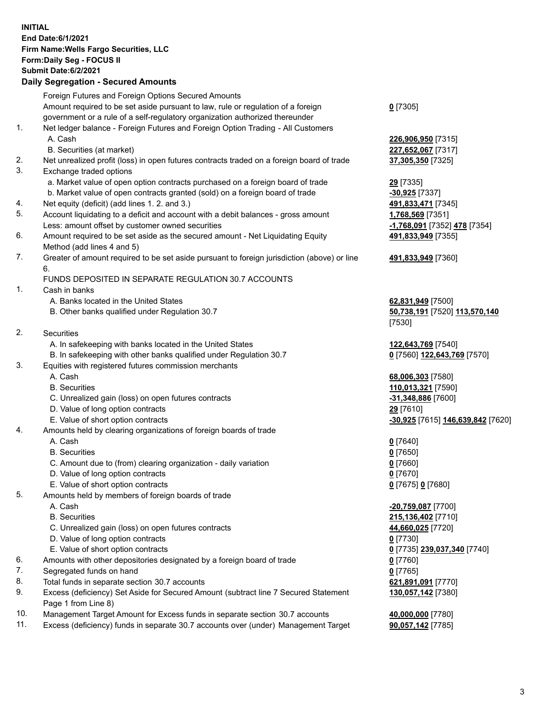**INITIAL End Date:6/1/2021 Firm Name:Wells Fargo Securities, LLC Form:Daily Seg - FOCUS II Submit Date:6/2/2021 Daily Segregation - Secured Amounts** Foreign Futures and Foreign Options Secured Amounts

Amount required to be set aside pursuant to law, rule or regulation of a foreign government or a rule of a self-regulatory organization authorized thereunder

- 1. Net ledger balance Foreign Futures and Foreign Option Trading All Customers A. Cash **226,906,950** [7315]
	- B. Securities (at market) **227,652,067** [7317]
- 2. Net unrealized profit (loss) in open futures contracts traded on a foreign board of trade **37,305,350** [7325]
- 3. Exchange traded options
	- a. Market value of open option contracts purchased on a foreign board of trade **29** [7335]
	- b. Market value of open contracts granted (sold) on a foreign board of trade **-30,925** [7337]
- 4. Net equity (deficit) (add lines 1. 2. and 3.) **491,833,471** [7345]
- 5. Account liquidating to a deficit and account with a debit balances gross amount **1,768,569** [7351] Less: amount offset by customer owned securities **-1,768,091** [7352] **478** [7354]
- 6. Amount required to be set aside as the secured amount Net Liquidating Equity Method (add lines 4 and 5)
- 7. Greater of amount required to be set aside pursuant to foreign jurisdiction (above) or line 6.

## FUNDS DEPOSITED IN SEPARATE REGULATION 30.7 ACCOUNTS

- 1. Cash in banks
	- A. Banks located in the United States **62,831,949** [7500]
	- B. Other banks qualified under Regulation 30.7 **50,738,191** [7520] **113,570,140**
- 2. Securities
	- A. In safekeeping with banks located in the United States **122,643,769** [7540]
- B. In safekeeping with other banks qualified under Regulation 30.7 **0** [7560] **122,643,769** [7570]
- 3. Equities with registered futures commission merchants
	-
	-
	- C. Unrealized gain (loss) on open futures contracts **-31,348,886** [7600]
	- D. Value of long option contracts **29** [7610]
	-
- 4. Amounts held by clearing organizations of foreign boards of trade
	- A. Cash **0** [7640]
	- B. Securities **0** [7650]
	- C. Amount due to (from) clearing organization daily variation **0** [7660]
	- D. Value of long option contracts **0** [7670]
	- E. Value of short option contracts **0** [7675] **0** [7680]
- 5. Amounts held by members of foreign boards of trade
	-
	-
	- C. Unrealized gain (loss) on open futures contracts **44,660,025** [7720]
	- D. Value of long option contracts **0** [7730]
	- E. Value of short option contracts **0** [7735] **239,037,340** [7740]
- 6. Amounts with other depositories designated by a foreign board of trade **0** [7760]
- 7. Segregated funds on hand **0** [7765]
- 8. Total funds in separate section 30.7 accounts **621,891,091** [7770]
- 9. Excess (deficiency) Set Aside for Secured Amount (subtract line 7 Secured Statement Page 1 from Line 8)
- 10. Management Target Amount for Excess funds in separate section 30.7 accounts **40,000,000** [7780]
- 11. Excess (deficiency) funds in separate 30.7 accounts over (under) Management Target **90,057,142** [7785]

**0** [7305]

**491,833,949** [7355]

## **491,833,949** [7360]

[7530]

 A. Cash **68,006,303** [7580] B. Securities **110,013,321** [7590] E. Value of short option contracts **-30,925** [7615] **146,639,842** [7620]

 A. Cash **-20,759,087** [7700] B. Securities **215,136,402** [7710] **130,057,142** [7380]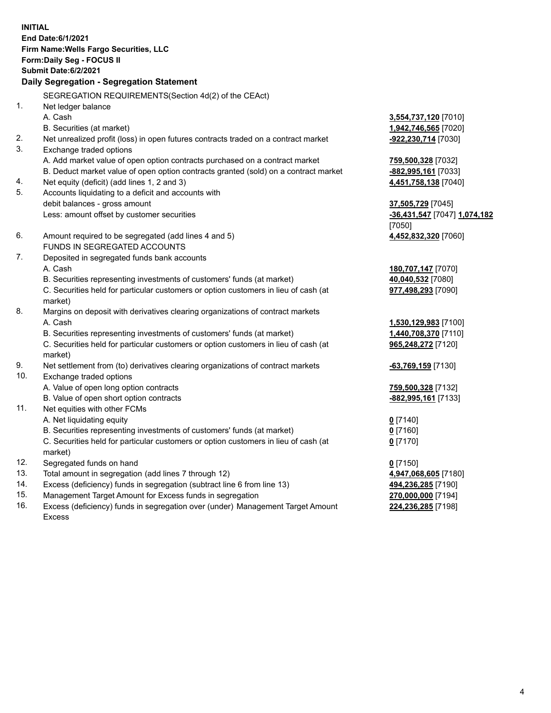**INITIAL End Date:6/1/2021 Firm Name:Wells Fargo Securities, LLC Form:Daily Seg - FOCUS II Submit Date:6/2/2021 Daily Segregation - Segregation Statement** SEGREGATION REQUIREMENTS(Section 4d(2) of the CEAct) 1. Net ledger balance A. Cash **3,554,737,120** [7010] B. Securities (at market) **1,942,746,565** [7020] 2. Net unrealized profit (loss) in open futures contracts traded on a contract market **-922,230,714** [7030] 3. Exchange traded options A. Add market value of open option contracts purchased on a contract market **759,500,328** [7032] B. Deduct market value of open option contracts granted (sold) on a contract market **-882,995,161** [7033] 4. Net equity (deficit) (add lines 1, 2 and 3) **4,451,758,138** [7040] 5. Accounts liquidating to a deficit and accounts with debit balances - gross amount **37,505,729** [7045] Less: amount offset by customer securities **-36,431,547** [7047] **1,074,182** [7050] 6. Amount required to be segregated (add lines 4 and 5) **4,452,832,320** [7060] FUNDS IN SEGREGATED ACCOUNTS 7. Deposited in segregated funds bank accounts A. Cash **180,707,147** [7070] B. Securities representing investments of customers' funds (at market) **40,040,532** [7080] C. Securities held for particular customers or option customers in lieu of cash (at market) **977,498,293** [7090] 8. Margins on deposit with derivatives clearing organizations of contract markets A. Cash **1,530,129,983** [7100] B. Securities representing investments of customers' funds (at market) **1,440,708,370** [7110] C. Securities held for particular customers or option customers in lieu of cash (at market) **965,248,272** [7120] 9. Net settlement from (to) derivatives clearing organizations of contract markets **-63,769,159** [7130] 10. Exchange traded options A. Value of open long option contracts **759,500,328** [7132] B. Value of open short option contracts **-882,995,161** [7133] 11. Net equities with other FCMs A. Net liquidating equity **0** [7140] B. Securities representing investments of customers' funds (at market) **0** [7160] C. Securities held for particular customers or option customers in lieu of cash (at market) **0** [7170] 12. Segregated funds on hand **0** [7150] 13. Total amount in segregation (add lines 7 through 12) **4,947,068,605** [7180] 14. Excess (deficiency) funds in segregation (subtract line 6 from line 13) **494,236,285** [7190] 15. Management Target Amount for Excess funds in segregation **270,000,000** [7194] **224,236,285** [7198]

16. Excess (deficiency) funds in segregation over (under) Management Target Amount Excess